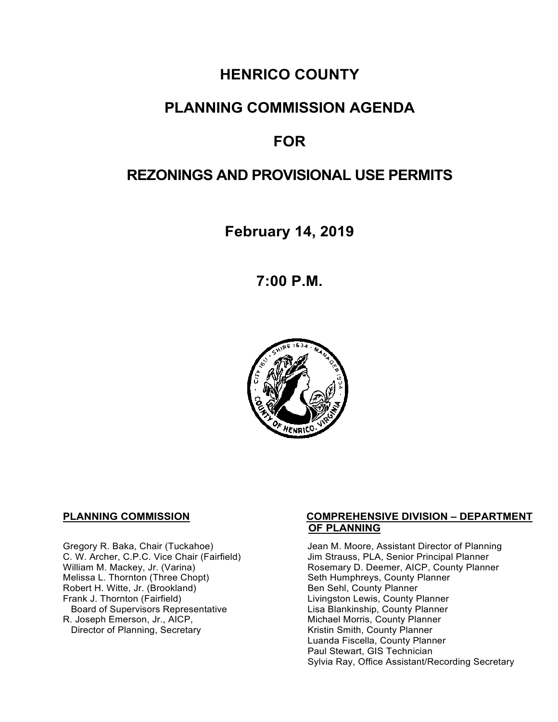# **HENRICO COUNTY**

## **PLANNING COMMISSION AGENDA**

# **FOR**

# **REZONINGS AND PROVISIONAL USE PERMITS**

**February 14, 2019**

**7:00 P.M.**



Melissa L. Thornton (Three Chopt) Seth Humphreys, County F<br>
Robert H. Witte, Jr. (Brookland) Seth Sehl, County Planner Robert H. Witte, Jr. (Brookland)<br>Frank J. Thornton (Fairfield) Board of Supervisors Representative<br>R. Joseph Emerson, Jr., AICP, Director of Planning, Secretary

#### **PLANNING COMMISSION COMPREHENSIVE DIVISION – DEPARTMENT OF PLANNING**

Gregory R. Baka, Chair (Tuckahoe) Jean M. Moore, Assistant Director of Planning<br>C. W. Archer, C.P.C. Vice Chair (Fairfield) Jim Strauss, PLA, Senior Principal Planner C. W. Archer, C.P.C. Vice Chair (Fairfield) Jim Strauss, PLA, Senior Principal Planner<br>William M. Mackey, Jr. (Varina) Sand Chair Cosemary D. Deemer, AICP, County Planner Rosemary D. Deemer, AICP, County Planner<br>Seth Humphreys, County Planner Livingston Lewis, County Planner<br>Lisa Blankinship, County Planner Michael Morris, County Planner<br>Kristin Smith, County Planner Luanda Fiscella, County Planner Paul Stewart, GIS Technician Sylvia Ray, Office Assistant/Recording Secretary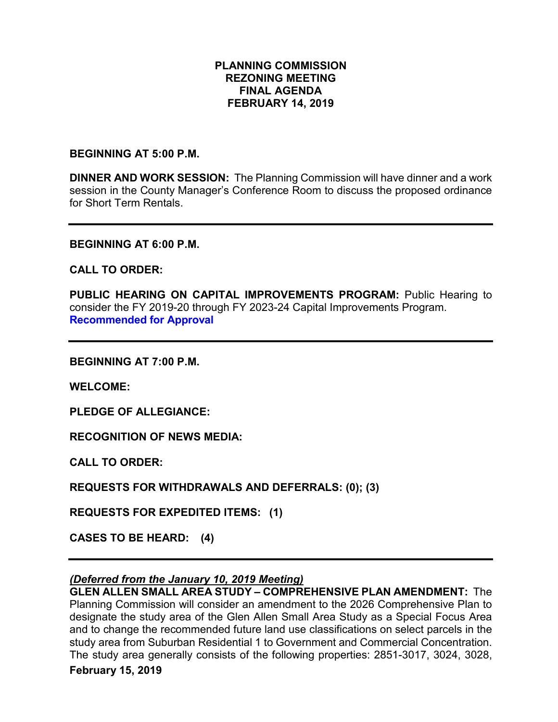### **PLANNING COMMISSION REZONING MEETING FINAL AGENDA FEBRUARY 14, 2019**

#### **BEGINNING AT 5:00 P.M.**

**DINNER AND WORK SESSION:** The Planning Commission will have dinner and a work session in the County Manager's Conference Room to discuss the proposed ordinance for Short Term Rentals.

#### **BEGINNING AT 6:00 P.M.**

#### **CALL TO ORDER:**

**PUBLIC HEARING ON CAPITAL IMPROVEMENTS PROGRAM:** Public Hearing to consider the FY 2019-20 through FY 2023-24 Capital Improvements Program. **Recommended for Approval**

**BEGINNING AT 7:00 P.M.**

**WELCOME:**

**PLEDGE OF ALLEGIANCE:**

**RECOGNITION OF NEWS MEDIA:**

**CALL TO ORDER:**

**REQUESTS FOR WITHDRAWALS AND DEFERRALS: (0); (3)**

**REQUESTS FOR EXPEDITED ITEMS: (1)**

**CASES TO BE HEARD: (4)**

#### *(Deferred from the January 10, 2019 Meeting)*

**GLEN ALLEN SMALL AREA STUDY – COMPREHENSIVE PLAN AMENDMENT:** The Planning Commission will consider an amendment to the 2026 Comprehensive Plan to designate the study area of the Glen Allen Small Area Study as a Special Focus Area and to change the recommended future land use classifications on select parcels in the study area from Suburban Residential 1 to Government and Commercial Concentration. The study area generally consists of the following properties: 2851-3017, 3024, 3028,

#### **February 15, 2019**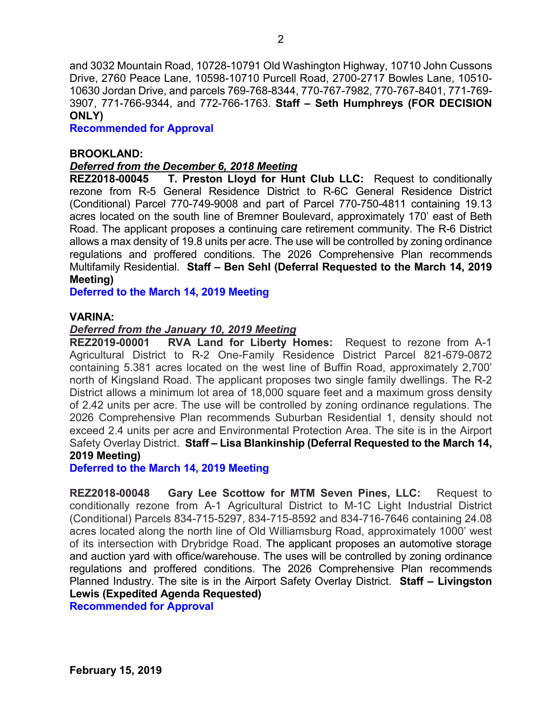and 3032 Mountain Road, 10728-10791 Old Washington Highway, 10710 John Cussons Drive, 2760 Peace Lane, 10598-10710 Purcell Road, 2700-2717 Bowles Lane, 10510- 10630 Jordan Drive, and parcels 769-768-8344, 770-767-7982, 770-767-8401, 771-769- 3907, 771-766-9344, and 772-766-1763. **Staff – Seth Humphreys (FOR DECISION ONLY)**

**Recommended for Approval**

#### **BROOKLAND:**

#### *Deferred from the December 6, 2018 Meeting*

**REZ2018-00045 T. Preston Lloyd for Hunt Club LLC:** Request to conditionally rezone from R-5 General Residence District to R-6C General Residence District (Conditional) Parcel 770-749-9008 and part of Parcel 770-750-4811 containing 19.13 acres located on the south line of Bremner Boulevard, approximately 170' east of Beth Road. The applicant proposes a continuing care retirement community. The R-6 District allows a max density of 19.8 units per acre. The use will be controlled by zoning ordinance regulations and proffered conditions. The 2026 Comprehensive Plan recommends Multifamily Residential. **Staff – Ben Sehl (Deferral Requested to the March 14, 2019 Meeting)**

**Deferred to the March 14, 2019 Meeting**

#### **VARINA:**

#### *Deferred from the January 10, 2019 Meeting*

**REZ2019-00001 RVA Land for Liberty Homes:** Request to rezone from A-1 Agricultural District to R-2 One-Family Residence District Parcel 821-679-0872 containing 5.381 acres located on the west line of Buffin Road, approximately 2,700' north of Kingsland Road. The applicant proposes two single family dwellings. The R-2 District allows a minimum lot area of 18,000 square feet and a maximum gross density of 2.42 units per acre. The use will be controlled by zoning ordinance regulations. The 2026 Comprehensive Plan recommends Suburban Residential 1, density should not exceed 2.4 units per acre and Environmental Protection Area. The site is in the Airport Safety Overlay District. **Staff – Lisa Blankinship (Deferral Requested to the March 14, 2019 Meeting)**

**Deferred to the March 14, 2019 Meeting**

**REZ2018-00048 Gary Lee Scottow for MTM Seven Pines, LLC:** Request to conditionally rezone from A-1 Agricultural District to M-1C Light Industrial District (Conditional) Parcels 834-715-5297, 834-715-8592 and 834-716-7646 containing 24.08 acres located along the north line of Old Williamsburg Road, approximately 1000' west of its intersection with Drybridge Road. The applicant proposes an automotive storage and auction yard with office/warehouse. The uses will be controlled by zoning ordinance regulations and proffered conditions. The 2026 Comprehensive Plan recommends Planned Industry. The site is in the Airport Safety Overlay District. **Staff – Livingston Lewis (Expedited Agenda Requested)**

**Recommended for Approval**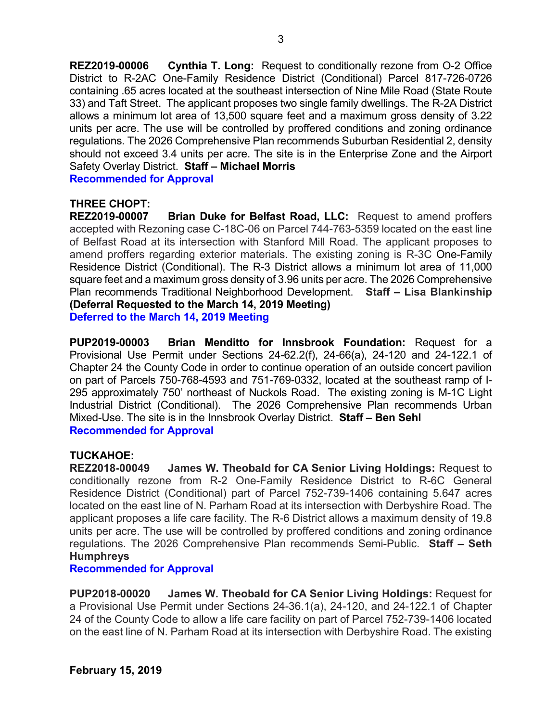**REZ2019-00006 Cynthia T. Long:** Request to conditionally rezone from O-2 Office District to R-2AC One-Family Residence District (Conditional) Parcel 817-726-0726 containing .65 acres located at the southeast intersection of Nine Mile Road (State Route 33) and Taft Street. The applicant proposes two single family dwellings. The R-2A District allows a minimum lot area of 13,500 square feet and a maximum gross density of 3.22 units per acre. The use will be controlled by proffered conditions and zoning ordinance regulations. The 2026 Comprehensive Plan recommends Suburban Residential 2, density should not exceed 3.4 units per acre. The site is in the Enterprise Zone and the Airport Safety Overlay District. **Staff – Michael Morris**

**Recommended for Approval**

# **THREE CHOPT:**

**Brian Duke for Belfast Road, LLC:** Request to amend proffers accepted with Rezoning case C-18C-06 on Parcel 744-763-5359 located on the east line of Belfast Road at its intersection with Stanford Mill Road. The applicant proposes to amend proffers regarding exterior materials. The existing zoning is R-3C One-Family Residence District (Conditional). The R-3 District allows a minimum lot area of 11,000 square feet and a maximum gross density of 3.96 units per acre. The 2026 Comprehensive Plan recommends Traditional Neighborhood Development. **Staff – Lisa Blankinship (Deferral Requested to the March 14, 2019 Meeting) Deferred to the March 14, 2019 Meeting**

**PUP2019-00003 Brian Menditto for Innsbrook Foundation:** Request for a Provisional Use Permit under Sections 24-62.2(f), 24-66(a), 24-120 and 24-122.1 of Chapter 24 the County Code in order to continue operation of an outside concert pavilion on part of Parcels 750-768-4593 and 751-769-0332, located at the southeast ramp of I-295 approximately 750' northeast of Nuckols Road. The existing zoning is M-1C Light Industrial District (Conditional). The 2026 Comprehensive Plan recommends Urban Mixed-Use. The site is in the Innsbrook Overlay District. **Staff – Ben Sehl Recommended for Approval**

#### **TUCKAHOE:**

**REZ2018-00049 James W. Theobald for CA Senior Living Holdings:** Request to conditionally rezone from R-2 One-Family Residence District to R-6C General Residence District (Conditional) part of Parcel 752-739-1406 containing 5.647 acres located on the east line of N. Parham Road at its intersection with Derbyshire Road. The applicant proposes a life care facility. The R-6 District allows a maximum density of 19.8 units per acre. The use will be controlled by proffered conditions and zoning ordinance regulations. The 2026 Comprehensive Plan recommends Semi-Public. **Staff – Seth Humphreys**

#### **Recommended for Approval**

**PUP2018-00020 James W. Theobald for CA Senior Living Holdings:** Request for a Provisional Use Permit under Sections 24-36.1(a), 24-120, and 24-122.1 of Chapter 24 of the County Code to allow a life care facility on part of Parcel 752-739-1406 located on the east line of N. Parham Road at its intersection with Derbyshire Road. The existing